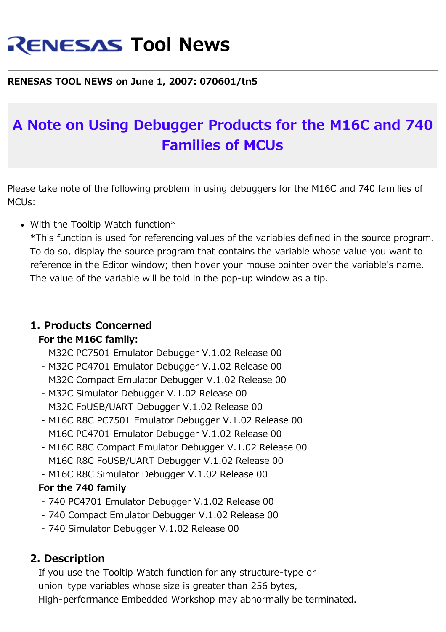# **RENESAS Tool News**

## **RENESAS TOOL NEWS on June 1, 2007: 070601/tn5**

# **A Note on Using Debugger Products for the M16C and 740 Families of MCUs**

Please take note of the following problem in using debuggers for the M16C and 740 families of MCUs:

• With the Tooltip Watch function\*

\*This function is used for referencing values of the variables defined in the source program. To do so, display the source program that contains the variable whose value you want to reference in the Editor window; then hover your mouse pointer over the variable's name. The value of the variable will be told in the pop-up window as a tip.

# **1. Products Concerned**

#### **For the M16C family:**

- M32C PC7501 Emulator Debugger V.1.02 Release 00
- M32C PC4701 Emulator Debugger V.1.02 Release 00
- M32C Compact Emulator Debugger V.1.02 Release 00
- M32C Simulator Debugger V.1.02 Release 00
- M32C FoUSB/UART Debugger V.1.02 Release 00
- M16C R8C PC7501 Emulator Debugger V.1.02 Release 00
- M16C PC4701 Emulator Debugger V.1.02 Release 00
- M16C R8C Compact Emulator Debugger V.1.02 Release 00
- M16C R8C FoUSB/UART Debugger V.1.02 Release 00
- M16C R8C Simulator Debugger V.1.02 Release 00

#### **For the 740 family**

- 740 PC4701 Emulator Debugger V.1.02 Release 00
- 740 Compact Emulator Debugger V.1.02 Release 00
- 740 Simulator Debugger V.1.02 Release 00

# **2. Description**

 If you use the Tooltip Watch function for any structure-type or union-type variables whose size is greater than 256 bytes, High-performance Embedded Workshop may abnormally be terminated.